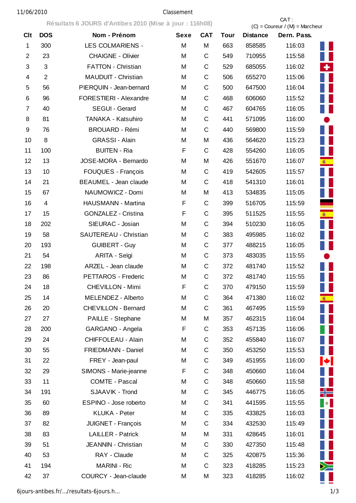**Résultats 6 JOURS d'Antibes 2010 (Mise à jour : 116h08)** CAT :

|                |                | Resultats 6 JOURS & Antibes 2010 (MISE & JOUR : 110/100) |             | $(C) =$ Coureur / $(M) =$ Marcheur |             |                 |             |            |
|----------------|----------------|----------------------------------------------------------|-------------|------------------------------------|-------------|-----------------|-------------|------------|
| <b>Clt</b>     | <b>DOS</b>     | Nom - Prénom                                             | <b>Sexe</b> | <b>CAT</b>                         | <b>Tour</b> | <b>Distance</b> | Dern. Pass. |            |
| 1              | 300            | <b>LES COLMARIENS -</b>                                  | M           | M                                  | 663         | 858585          | 116:03      |            |
| $\overline{2}$ | 23             | <b>CHAIGNE - Olivier</b>                                 | M           | C                                  | 549         | 710955          | 115:58      |            |
| 3              | $\mathfrak{S}$ | <b>FATTON - Christian</b>                                | M           | C                                  | 529         | 685055          | 116:02      | ٠          |
| 4              | $\overline{2}$ | <b>MAUDUIT - Christian</b>                               | M           | C                                  | 506         | 655270          | 115:06      |            |
| 5              | 56             | PIERQUIN - Jean-bernard                                  | M           | C                                  | 500         | 647500          | 116:04      |            |
| 6              | 96             | FORESTIERI - Alexandre                                   | M           | C                                  | 468         | 606060          | 115:52      |            |
| 7              | 40             | <b>SEGUI - Gerard</b>                                    | M           | C                                  | 467         | 604765          | 116:05      |            |
| 8              | 81             | TANAKA - Katsuhiro                                       | M           | C                                  | 441         | 571095          | 116:00      |            |
| 9              | 76             | <b>BROUARD - Rémi</b>                                    | M           | C                                  | 440         | 569800          | 115:59      |            |
| 10             | 8              | <b>GRASSI - Alain</b>                                    | M           | M                                  | 436         | 564620          | 115:23      |            |
| 11             | 100            | <b>BUITEN - Ria</b>                                      | F           | C                                  | 428         | 554260          | 116:05      |            |
| 12             | 13             | JOSE-MORA - Bernardo                                     | M           | M                                  | 426         | 551670          | 116:07      |            |
| 13             | 10             | <b>FOUQUES - François</b>                                | M           | C                                  | 419         | 542605          | 115:57      |            |
| 14             | 21             | <b>BEAUMEL - Jean claude</b>                             | M           | C                                  | 418         | 541310          | 116:01      |            |
| 15             | 67             | NAUMOWICZ - Domi                                         | M           | M                                  | 413         | 534835          | 115:05      |            |
| 16             | $\overline{4}$ | HAUSMANN - Martina                                       | F           | C                                  | 399         | 516705          | 115:59      |            |
| 17             | 15             | <b>GONZALEZ - Cristina</b>                               | F           | $\mathsf C$                        | 395         | 511525          | 115:55      | <b>图</b>   |
| 18             | 202            | SIEURAC - Josian                                         | M           | $\mathsf C$                        | 394         | 510230          | 116:05      |            |
| 19             | 58             | SAUTEREAU - Christian                                    | M           | C                                  | 383         | 495985          | 116:02      |            |
| 20             | 193            | <b>GUIBERT - Guy</b>                                     | M           | C                                  | 377         | 488215          | 116:05      |            |
| 21             | 54             | ARITA - Seìgi                                            | M           | C                                  | 373         | 483035          | 115:55      |            |
| 22             | 198            | ARZEL - Jean claude                                      | M           | C                                  | 372         | 481740          | 115:52      |            |
| 23             | 86             | PETTAROS - Frederic                                      | M           | C                                  | 372         | 481740          | 115:55      |            |
| 24             | 18             | <b>CHEVILLON - Mimi</b>                                  | F           | C                                  | 370         | 479150          | 115:59      |            |
| 25             | 14             | MELENDEZ - Alberto                                       | M           | C                                  | 364         | 471380          | 116:02      | <b>商</b>   |
| 26             | 20             | CHEVILLON - Bernard                                      | M           | C                                  | 361         | 467495          | 115:59      |            |
| 27             | 27             | PAILLE - Stephane                                        | M           | M                                  | 357         | 462315          | 116:04      |            |
| 28             | 200            | GARGANO - Angela                                         | F           | С                                  | 353         | 457135          | 116:06      |            |
| 29             | 24             | <b>CHIFFOLEAU - Alain</b>                                | M           | С                                  | 352         | 455840          | 116:07      |            |
| 30             | 55             | FRIEDMANN - Daniel                                       | M           | С                                  | 350         | 453250          | 115:53      |            |
| 31             | 22             | FREY - Jean-paul                                         | M           | С                                  | 349         | 451955          | 116:00      | $\bigstar$ |
| 32             | 29             | SIMONS - Marie-jeanne                                    | F           | $\mathsf C$                        | 348         | 450660          | 116:04      |            |
| 33             | 11             | <b>COMTE - Pascal</b>                                    | M           | C                                  | 348         | 450660          | 115:58      |            |
| 34             | 191            | SJAAVIK - Trond                                          | M           | C                                  | 345         | 446775          | 116:05      | ╬═         |
| 35             | 60             | ESPINO - Jose roberto                                    | M           | C                                  | 341         | 441595          | 115:55      | $\bullet$  |
| 36             | 89             | KLUKA - Peter                                            | M           | C                                  | 335         | 433825          | 116:03      |            |
| 37             | 82             | JUIGNET - François                                       | M           | C                                  | 334         | 432530          | 115:49      |            |
| 38             | 83             | <b>LAILLER - Patrick</b>                                 | M           | M                                  | 331         | 428645          | 116:01      |            |
| 39             | 51             | JEANNIN - Christian                                      | M           | $\mathsf C$                        | 330         | 427350          | 115:48      |            |
| 40             | 53             | RAY - Claude                                             | M           | С                                  | 325         | 420875          | 115:36      |            |
| 41             | 194            | <b>MARINI - Ric</b>                                      | M           | C                                  | 323         | 418285          | 115:23      | ≻          |
| 42             | 37             | COURCY - Jean-claude                                     | M           | M                                  | 323         | 418285          | 116:02      |            |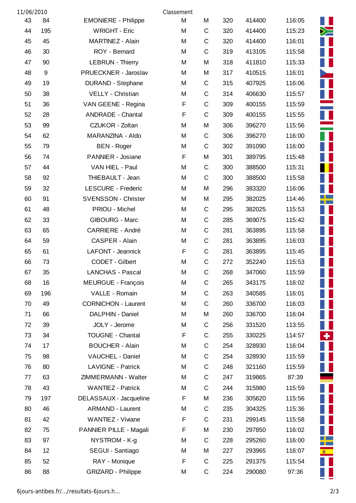| 11/06/2010 |     |                            | Classement |             |     |        |        |          |
|------------|-----|----------------------------|------------|-------------|-----|--------|--------|----------|
| 43         | 84  | <b>EMONIERE - Philippe</b> | M          | M           | 320 | 414400 | 116:05 |          |
| 44         | 195 | <b>WRIGHT - Eric</b>       | M          | $\mathsf C$ | 320 | 414400 | 115:23 | ╳═       |
| 45         | 45  | MARTINEZ - Alain           | M          | $\mathsf C$ | 320 | 414400 | 116:01 |          |
| 46         | 30  | ROY - Bernard              | M          | $\mathsf C$ | 319 | 413105 | 115:58 |          |
| 47         | 90  | <b>LEBRUN - Thierry</b>    | M          | M           | 318 | 411810 | 115:33 |          |
| 48         | 9   | PRUECKNER - Jaroslav       | M          | M           | 317 | 410515 | 116:01 |          |
| 49         | 19  | <b>DURAND - Stephane</b>   | M          | $\mathsf C$ | 315 | 407925 | 116:06 |          |
| 50         | 38  | VELLY - Christian          | M          | $\mathsf C$ | 314 | 406630 | 115:57 |          |
| 51         | 36  | VAN GEENE - Regina         | F          | $\mathsf C$ | 309 | 400155 | 115:59 |          |
| 52         | 28  | <b>ANDRADE - Chantal</b>   | F          | $\mathsf C$ | 309 | 400155 | 115:55 |          |
| 53         | 99  | CZUKOR - Zoltan            | M          | М           | 306 | 396270 | 115:56 |          |
| 54         | 62  | MARANZINA - Aldo           | M          | $\mathsf C$ | 306 | 396270 | 116:00 |          |
| 55         | 79  | <b>BEN</b> - Roger         | М          | $\mathsf C$ | 302 | 391090 | 116:00 |          |
| 56         | 74  | PANNIER - Josiane          | F          | M           | 301 | 389795 | 115:48 |          |
| 57         | 44  | VAN HIEL - Paul            | M          | $\mathsf C$ | 300 | 388500 | 115:31 |          |
| 58         | 92  | THIEBAULT - Jean           | M          | $\mathsf C$ | 300 | 388500 | 115:58 |          |
| 59         | 32  | <b>LESCURE - Frederic</b>  | M          | M           | 296 | 383320 | 116:06 |          |
| 60         | 91  | <b>SVENSSON - Christer</b> | M          | M           | 295 | 382025 | 114:46 |          |
| 61         | 48  | PRIOU - Michel             | M          | $\mathsf C$ | 295 | 382025 | 115:53 |          |
| 62         | 33  | <b>GIBOURG - Marc</b>      | M          | $\mathsf C$ | 285 | 369075 | 115:42 |          |
| 63         | 65  | <b>CARRIERE - André</b>    | M          | $\mathsf C$ | 281 | 363895 | 115:58 |          |
| 64         | 59  | CASPER - Alain             | M          | $\mathsf C$ | 281 | 363895 | 116:03 |          |
| 65         | 61  | LAFONT - Jeannick          | F          | $\mathsf C$ | 281 | 363895 | 115:45 |          |
| 66         | 73  | CODET - Gilbert            | M          | $\mathsf C$ | 272 | 352240 | 115:53 |          |
| 67         | 35  | <b>LANCHAS - Pascal</b>    | M          | $\mathsf C$ | 268 | 347060 | 115:59 |          |
| 68         | 16  | <b>MEURGUE - François</b>  | Μ          | $\mathsf C$ | 265 | 343175 | 116:02 |          |
| 69         | 196 | VALLE - Romain             | M          | $\mathsf C$ | 263 | 340585 | 116:01 |          |
| 70         | 49  | <b>CORNICHON - Laurent</b> | M          | C           | 260 | 336700 | 116:03 |          |
| 71         | 66  | DALPHIN - Daniel           | M          | M           | 260 | 336700 | 116:04 |          |
| 72         | 39  | JOLY - Jerome              | М          | $\mathsf C$ | 256 | 331520 | 113:55 |          |
| 73         | 34  | <b>TOUGNE - Chantal</b>    | F          | $\mathsf C$ | 255 | 330225 | 114:57 | ٠        |
| 74         | 17  | <b>BOUCHER - Alain</b>     | M          | $\mathsf C$ | 254 | 328930 | 116:04 |          |
| 75         | 98  | VAUCHEL - Daniel           | M          | $\mathsf C$ | 254 | 328930 | 115:59 |          |
| 76         | 80  | <b>LAVIGNE - Patrick</b>   | M          | $\mathsf C$ | 248 | 321160 | 115:59 |          |
| 77         | 63  | ZIMMERMANN - Walter        | M          | $\mathsf C$ | 247 | 319865 | 87:39  |          |
| 78         | 43  | <b>WANTIEZ - Patrick</b>   | M          | $\mathsf C$ | 244 | 315980 | 115:59 |          |
| 79         | 197 | DELASSAUX - Jacqueline     | F          | M           | 236 | 305620 | 115:56 |          |
| 80         | 46  | <b>ARMAND - Laurent</b>    | M          | $\mathsf C$ | 235 | 304325 | 115:36 |          |
| 81         | 42  | WANTIEZ - Viviane          | F          | $\mathsf C$ | 231 | 299145 | 115:58 |          |
| 82         | 75  | PANNIER PILLE - Magali     | F          | M           | 230 | 297850 | 116:02 |          |
| 83         | 97  | NYSTROM - K-g              | М          | $\mathsf C$ | 228 | 295260 | 116:00 |          |
| 84         | 12  | SEGUI - Santiago           | М          | M           | 227 | 293965 | 116:07 | <b>图</b> |
| 85         | 52  | RAY - Monique              | F          | $\mathsf C$ | 225 | 291375 | 115:54 |          |
| 86         | 88  | <b>GRIZARD - Philippe</b>  | М          | $\mathsf C$ | 224 | 290080 | 97:36  |          |

Ī